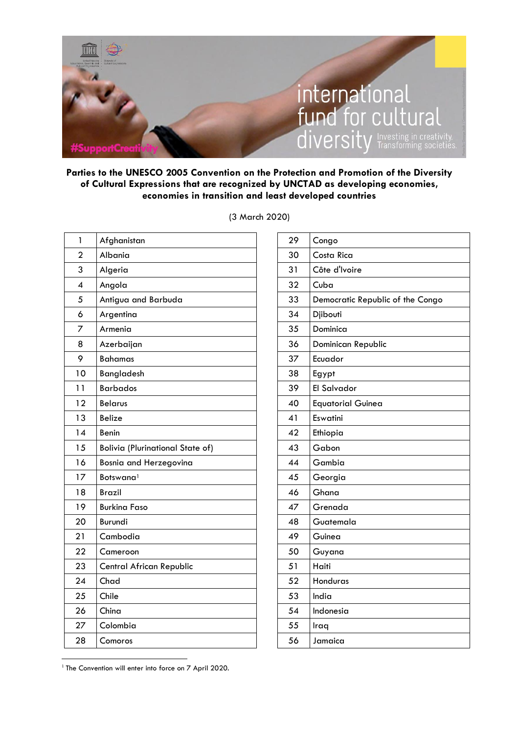

## **Parties to the UNESCO 2005 Convention on the Protection and Promotion of the Diversity of Cultural Expressions that are recognized by UNCTAD as developing economies, economies in transition and least developed countries**

| 1              | Afghanistan                             |
|----------------|-----------------------------------------|
| $\overline{2}$ | Albania                                 |
| 3              | Algeria                                 |
| $\overline{4}$ | Angola                                  |
| 5              | Antigua and Barbuda                     |
| 6              | Argentina                               |
| 7              | Armenia                                 |
| 8              | Azerbaijan                              |
| 9              | <b>Bahamas</b>                          |
| 10             | Bangladesh                              |
| 11             | <b>Barbados</b>                         |
| 12             | <b>Belarus</b>                          |
| 13             | <b>Belize</b>                           |
| 14             | Benin                                   |
| 15             | <b>Bolivia (Plurinational State of)</b> |
| 16             | Bosnia and Herzegovina                  |
| 17             | Botswana <sup>1</sup>                   |
| 18             | <b>Brazil</b>                           |
| 19             | <b>Burkina Faso</b>                     |
| 20             | Burundi                                 |
| 21             | Cambodia                                |
| 22             | Cameroon                                |
| 23             | Central African Republic                |
| 24             | Chad                                    |
| 25             | Chile                                   |
| 26             | China                                   |
| 27             | Colombia                                |
| 28             | Comoros                                 |

(3 March 2020)

| 29 | Congo                            |
|----|----------------------------------|
| 30 | Costa Rica                       |
| 31 | Côte d'Ivoire                    |
| 32 | Cuba                             |
| 33 | Democratic Republic of the Congo |
| 34 | Djibouti                         |
| 35 | Dominica                         |
| 36 | Dominican Republic               |
| 37 | Ecuador                          |
| 38 | Egypt                            |
| 39 | El Salvador                      |
| 40 | <b>Equatorial Guinea</b>         |
| 41 | Eswatini                         |
| 42 | Ethiopia                         |
| 43 | Gabon                            |
| 44 | Gambia                           |
| 45 | Georgia                          |
| 46 | Ghana                            |
| 47 | Grenada                          |
| 48 | Guatemala                        |
| 49 | Guinea                           |
| 50 | Guyana                           |
| 51 | Haiti                            |
| 52 | Honduras                         |
| 53 | India                            |
| 54 | Indonesia                        |
| 55 | Iraq                             |
| 56 | Jamaica                          |

<sup>&</sup>lt;sup>1</sup> The Convention will enter into force on 7 April 2020.